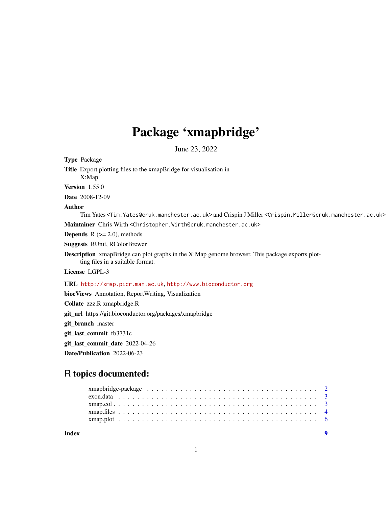# Package 'xmapbridge'

June 23, 2022

Type Package Title Export plotting files to the xmapBridge for visualisation in X:Map Version 1.55.0 Date 2008-12-09 Author Tim Yates <Tim.Yates@cruk.manchester.ac.uk> and Crispin J Miller <Crispin.Miller@cruk.manchester.ac.uk> Maintainer Chris Wirth <Christopher.Wirth@cruk.manchester.ac.uk> **Depends**  $R$  ( $>= 2.0$ ), methods Suggests RUnit, RColorBrewer Description xmapBridge can plot graphs in the X:Map genome browser. This package exports plotting files in a suitable format. License LGPL-3 URL <http://xmap.picr.man.ac.uk>, <http://www.bioconductor.org> biocViews Annotation, ReportWriting, Visualization Collate zzz.R xmapbridge.R git\_url https://git.bioconductor.org/packages/xmapbridge git\_branch master git\_last\_commit fb3731c

git\_last\_commit\_date 2022-04-26

Date/Publication 2022-06-23

# R topics documented:

| Index |  |  |  |  |  |  |  |  |  |  |  |  |  |  |  |  |  |  |
|-------|--|--|--|--|--|--|--|--|--|--|--|--|--|--|--|--|--|--|

1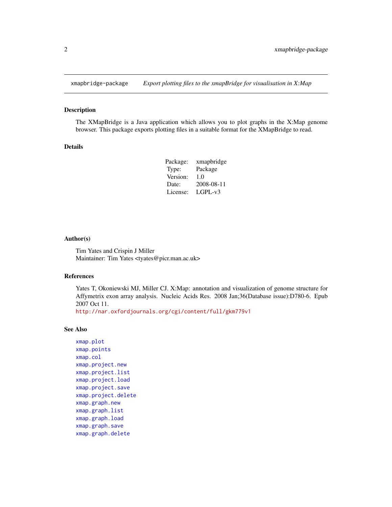<span id="page-1-0"></span>

# Description

The XMapBridge is a Java application which allows you to plot graphs in the X:Map genome browser. This package exports plotting files in a suitable format for the XMapBridge to read.

#### Details

| Package: | xmapbridge |
|----------|------------|
| Type:    | Package    |
| Version: | 1.0        |
| Date:    | 2008-08-11 |
| License: | LGPL-v3    |

#### Author(s)

Tim Yates and Crispin J Miller Maintainer: Tim Yates <tyates@picr.man.ac.uk>

#### References

Yates T, Okoniewski MJ, Miller CJ. X:Map: annotation and visualization of genome structure for Affymetrix exon array analysis. Nucleic Acids Res. 2008 Jan;36(Database issue):D780-6. Epub 2007 Oct 11.

<http://nar.oxfordjournals.org/cgi/content/full/gkm779v1>

# See Also

[xmap.plot](#page-5-1) [xmap.points](#page-5-2) [xmap.col](#page-2-1) [xmap.project.new](#page-3-1) [xmap.project.list](#page-3-1) [xmap.project.load](#page-3-1) [xmap.project.save](#page-3-1) [xmap.project.delete](#page-3-1) [xmap.graph.new](#page-3-1) [xmap.graph.list](#page-3-1) [xmap.graph.load](#page-3-1) [xmap.graph.save](#page-3-1) [xmap.graph.delete](#page-3-1)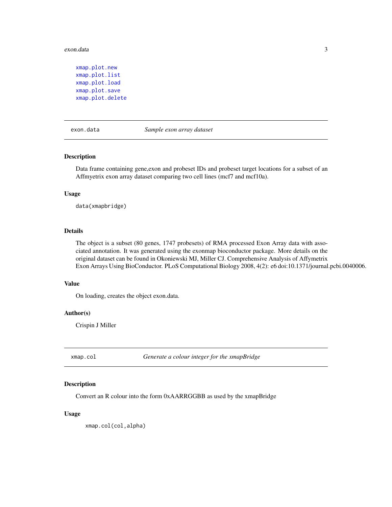#### <span id="page-2-0"></span>exon.data 3

```
xmap.plot.new
xmap.plot.list
xmap.plot.load
xmap.plot.save
xmap.plot.delete
```
#### exon.data *Sample exon array dataset*

#### Description

Data frame containing gene,exon and probeset IDs and probeset target locations for a subset of an Affmyetrix exon array dataset comparing two cell lines (mcf7 and mcf10a).

#### Usage

data(xmapbridge)

#### Details

The object is a subset (80 genes, 1747 probesets) of RMA processed Exon Array data with associated annotation. It was generated using the exonmap bioconductor package. More details on the original dataset can be found in Okoniewski MJ, Miller CJ. Comprehensive Analysis of Affymetrix Exon Arrays Using BioConductor. PLoS Computational Biology 2008, 4(2): e6 doi:10.1371/journal.pcbi.0040006.

#### Value

On loading, creates the object exon.data.

# Author(s)

Crispin J Miller

<span id="page-2-1"></span>xmap.col *Generate a colour integer for the xmapBridge*

# Description

Convert an R colour into the form 0xAARRGGBB as used by the xmapBridge

## Usage

xmap.col(col,alpha)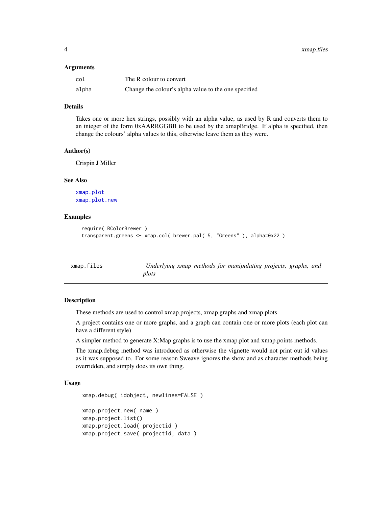#### <span id="page-3-0"></span>**Arguments**

| col   | The R colour to convert                              |
|-------|------------------------------------------------------|
| alpha | Change the colour's alpha value to the one specified |

#### Details

Takes one or more hex strings, possibly with an alpha value, as used by R and converts them to an integer of the form 0xAARRGGBB to be used by the xmapBridge. If alpha is specified, then change the colours' alpha values to this, otherwise leave them as they were.

#### Author(s)

Crispin J Miller

#### See Also

[xmap.plot](#page-5-1) [xmap.plot.new](#page-3-1)

#### Examples

```
require( RColorBrewer )
transparent.greens <- xmap.col( brewer.pal( 5, "Greens" ), alpha=0x22 )
```
xmap.files *Underlying xmap methods for manipulating projects, graphs, and plots*

#### <span id="page-3-1"></span>Description

These methods are used to control xmap.projects, xmap.graphs and xmap.plots

A project contains one or more graphs, and a graph can contain one or more plots (each plot can have a different style)

A simpler method to generate X:Map graphs is to use the xmap.plot and xmap.points methods.

The xmap.debug method was introduced as otherwise the vignette would not print out id values as it was supposed to. For some reason Sweave ignores the show and as.character methods being overridden, and simply does its own thing.

# Usage

```
xmap.debug( idobject, newlines=FALSE )
xmap.project.new( name )
xmap.project.list()
xmap.project.load( projectid )
xmap.project.save( projectid, data )
```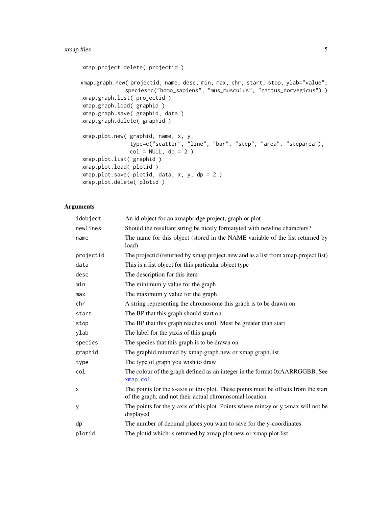```
xmap.project.delete( projectid )
xmap.graph.new( projectid, name, desc, min, max, chr, start, stop, ylab="value",
              species=c("homo_sapiens", "mus_musculus", "rattus_norvegicus") )
xmap.graph.list( projectid )
xmap.graph.load( graphid )
xmap.graph.save( graphid, data )
xmap.graph.delete( graphid )
xmap.plot.new( graphid, name, x, y,
               type=c("scatter", "line", "bar", "step", "area", "steparea"),
               col = NULL, dp = 2)xmap.plot.list( graphid )
xmap.plot.load( plotid )
xmap.plot.save( plotid, data, x, y, dp = 2 )
xmap.plot.delete( plotid )
```
# Arguments

| idobject  | An id object for an xmapbridge project, graph or plot                                                                                          |
|-----------|------------------------------------------------------------------------------------------------------------------------------------------------|
| newlines  | Should the resultant string be nicely formatyted with newline characters?                                                                      |
| name      | The name for this object (stored in the NAME variable of the list returned by<br>load)                                                         |
| projectid | The projectid (returned by xmap.project.new and as a list from xmap.project.list)                                                              |
| data      | This is a list object for this particular object type                                                                                          |
| desc      | The description for this item                                                                                                                  |
| min       | The minimum y value for the graph                                                                                                              |
| max       | The maximum y value for the graph                                                                                                              |
| chr       | A string representing the chromosome this graph is to be drawn on                                                                              |
| start     | The BP that this graph should start on                                                                                                         |
| stop      | The BP that this graph reaches until. Must be greater than start                                                                               |
| ylab      | The label for the yaxis of this graph                                                                                                          |
| species   | The species that this graph is to be drawn on                                                                                                  |
| graphid   | The graphid returned by xmap.graph.new or xmap.graph.list                                                                                      |
| type      | The type of graph you wish to draw                                                                                                             |
| col       | The colour of the graph defined as an integer in the format 0xAARRGGBB. See<br>xmap.col                                                        |
| X         | The points for the x-axis of this plot. These points must be offsets from the start<br>of the graph, and not their actual chromosomal location |
| У         | The points for the y-axis of this plot. Points where $\min$ -y or y > max will not be<br>displayed                                             |
| dp        | The number of decimal places you want to save for the y-coordinates                                                                            |
| plotid    | The plotid which is returned by xmap.plot.new or xmap.plot.list                                                                                |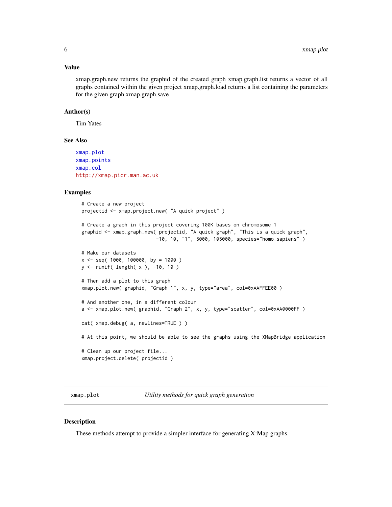#### <span id="page-5-0"></span>Value

xmap.graph.new returns the graphid of the created graph xmap.graph.list returns a vector of all graphs contained within the given project xmap.graph.load returns a list containing the parameters for the given graph xmap.graph.save

#### Author(s)

Tim Yates

# See Also

[xmap.plot](#page-5-1) [xmap.points](#page-5-2) [xmap.col](#page-2-1) <http://xmap.picr.man.ac.uk>

#### Examples

```
# Create a new project
projectid <- xmap.project.new( "A quick project" )
# Create a graph in this project covering 100K bases on chromosome 1
graphid <- xmap.graph.new( projectid, "A quick graph", "This is a quick graph",
                          -10, 10, "1", 5000, 105000, species="homo_sapiens" )
# Make our datasets
x \le - seq( 1000, 100000, by = 1000)
y <- runif( length( x ), -10, 10 )
# Then add a plot to this graph
xmap.plot.new( graphid, "Graph 1", x, y, type="area", col=0xAAFFEE00 )
# And another one, in a different colour
a <- xmap.plot.new( graphid, "Graph 2", x, y, type="scatter", col=0xAA0000FF )
cat( xmap.debug( a, newlines=TRUE ) )
# At this point, we should be able to see the graphs using the XMapBridge application
# Clean up our project file...
xmap.project.delete( projectid )
```
<span id="page-5-1"></span>xmap.plot *Utility methods for quick graph generation*

#### <span id="page-5-2"></span>Description

These methods attempt to provide a simpler interface for generating X:Map graphs.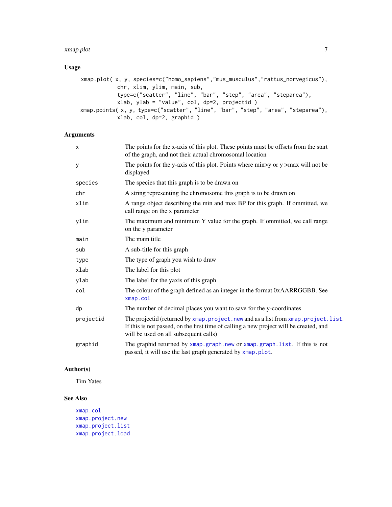#### <span id="page-6-0"></span>xmap.plot 7

# Usage

```
xmap.plot( x, y, species=c("homo_sapiens","mus_musculus","rattus_norvegicus"),
           chr, xlim, ylim, main, sub,
           type=c("scatter", "line", "bar", "step", "area", "steparea"),
           xlab, ylab = "value", col, dp=2, projectid )
xmap.points( x, y, type=c("scatter", "line", "bar", "step", "area", "steparea"),
           xlab, col, dp=2, graphid )
```
# Arguments

| X         | The points for the x-axis of this plot. These points must be offsets from the start<br>of the graph, and not their actual chromosomal location                                                                           |
|-----------|--------------------------------------------------------------------------------------------------------------------------------------------------------------------------------------------------------------------------|
| У         | The points for the y-axis of this plot. Points where $\min$ y or y > $\max$ will not be<br>displayed                                                                                                                     |
| species   | The species that this graph is to be drawn on                                                                                                                                                                            |
| chr       | A string representing the chromosome this graph is to be drawn on                                                                                                                                                        |
| xlim      | A range object describing the min and max BP for this graph. If ommitted, we<br>call range on the x parameter                                                                                                            |
| ylim      | The maximum and minimum Y value for the graph. If ommitted, we call range<br>on the y parameter                                                                                                                          |
| main      | The main title                                                                                                                                                                                                           |
| sub       | A sub-title for this graph                                                                                                                                                                                               |
| type      | The type of graph you wish to draw                                                                                                                                                                                       |
| xlab      | The label for this plot                                                                                                                                                                                                  |
| ylab      | The label for the yaxis of this graph                                                                                                                                                                                    |
| col       | The colour of the graph defined as an integer in the format 0xAARRGGBB. See<br>xmap.col                                                                                                                                  |
| dp        | The number of decimal places you want to save for the y-coordinates                                                                                                                                                      |
| projectid | The projectid (returned by xmap. project. new and as a list from xmap. project. list.<br>If this is not passed, on the first time of calling a new project will be created, and<br>will be used on all subsequent calls) |
| graphid   | The graphid returned by xmap.graph.new or xmap.graph.list. If this is not<br>passed, it will use the last graph generated by xmap.plot.                                                                                  |

# Author(s)

Tim Yates

# See Also

```
xmap.col
xmap.project.new
xmap.project.list
xmap.project.load
```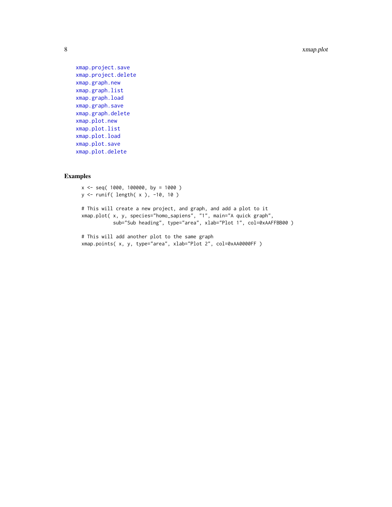```
xmap.project.save
xmap.project.delete
xmap.graph.new
xmap.graph.list
xmap.graph.load
xmap.graph.save
xmap.graph.delete
xmap.plot.new
xmap.plot.list
xmap.plot.load
xmap.plot.save
xmap.plot.delete
```
# Examples

 $x \le -$  seq( 1000, 100000, by = 1000) y <- runif( length( x ), -10, 10 )

# This will create a new project, and graph, and add a plot to it xmap.plot( x, y, species="homo\_sapiens", "1", main="A quick graph", sub="Sub heading", type="area", xlab="Plot 1", col=0xAAFFBB00 )

# This will add another plot to the same graph xmap.points( x, y, type="area", xlab="Plot 2", col=0xAA0000FF )